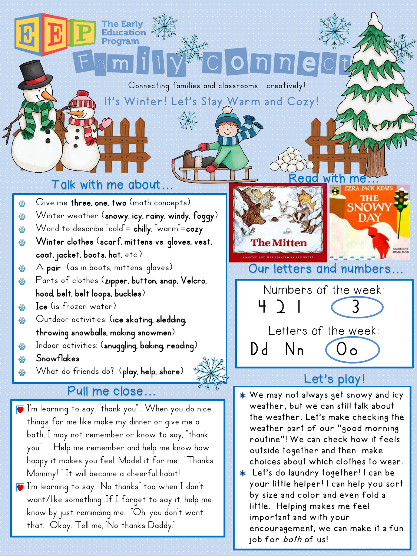#### It's Winter! Let's Stay Warm and Cozy! Connecting families and classrooms...creatively!

Family Connect

## Talk with me about…

- Give me three, one, two (math concepts) 40
- Winter weather (snowy, icy, rainy, windy, foggy) ₩
- Word to describe "cold"= chilly, "warm"=cozy ₩
- Winter clothes (scarf, mittens vs. gloves, vest, ₩ coat, jacket, boots, hat, etc.)
- A pair (as in boots, mittens, gloves) 4
- Parts of clothes (zipper, button, snap, Velcro, ₩ hood, belt, belt loops, buckles)
- Ice (is frozen water) ₩
- Outdoor activities: (ice skating, sledding, 44 throwing snowballs, making snowmen)
- Indoor activities: (snuggling, baking, reading) 48
- Snowflakes
- What do friends do? (play, help, share)

#### Pull me close…

- $\bar{\bullet}$  I'm learning to say, "thank you" . When you do nice things for me like make my dinner or give me a bath, I may not remember or know to say, "thank you". Help me remember and help me know how happy it makes you feel. Model it for me: "Thanks Mommy!" It will become a cheerful habit!
- I'm learning to say, "No thanks" too when I don't want/like something .If I forget to say it, help me know by just reminding me. "Oh, you don't want that. Okay. Tell me, 'No thanks Daddy."

DAY **The Mitten** Our letters and numbers… Numbers of the week: 4 2 1 (3 Letters of the week: Dd Nn

Read

### Let's play!

We may not always get snowy and icy weather, but we can still talk about the weather. Let's make checking the weather part of our "good morning routine"! We can check how it feels outside together and then make choices about which clothes to wear.

Let's do laundry together! I can be your little helper! I can help you sort by size and color and even fold a little. Helping makes me feel important and with your encouragement, we can make it a fun job for both of us!